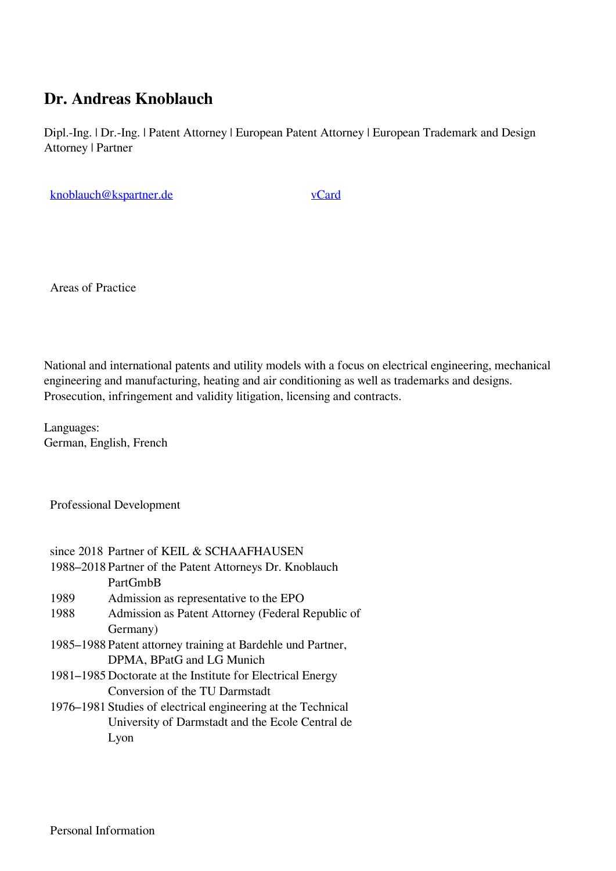## **Dr. Andreas Knoblauch**

Dipl.-Ing. | Dr.-Ing. | Patent Attorney | European Patent Attorney | European Trademark and Design Attorney | Partner

[knoblauch@kspartner.de](mailto:knoblauch@kspartner.de) [vCard](https://www.kspartner.de/files/KSP/media/vcards/Dr. Andreas Knoblauch.vcf)

Areas of Practice

National and international patents and utility models with a focus on electrical engineering, mechanical engineering and manufacturing, heating and air conditioning as well as trademarks and designs. Prosecution, infringement and validity litigation, licensing and contracts.

Languages: German, English, French

Professional Development

| since 2018 Partner of KEIL & SCHAAFHAUSEN                    |
|--------------------------------------------------------------|
| 1988–2018 Partner of the Patent Attorneys Dr. Knoblauch      |
| PartGmbB                                                     |
| Admission as representative to the EPO                       |
| Admission as Patent Attorney (Federal Republic of            |
| Germany)                                                     |
| 1985–1988 Patent attorney training at Bardehle und Partner,  |
| DPMA, BPatG and LG Munich                                    |
| 1981–1985 Doctorate at the Institute for Electrical Energy   |
| Conversion of the TU Darmstadt                               |
| 1976–1981 Studies of electrical engineering at the Technical |
| University of Darmstadt and the Ecole Central de             |
| Lyon                                                         |
|                                                              |